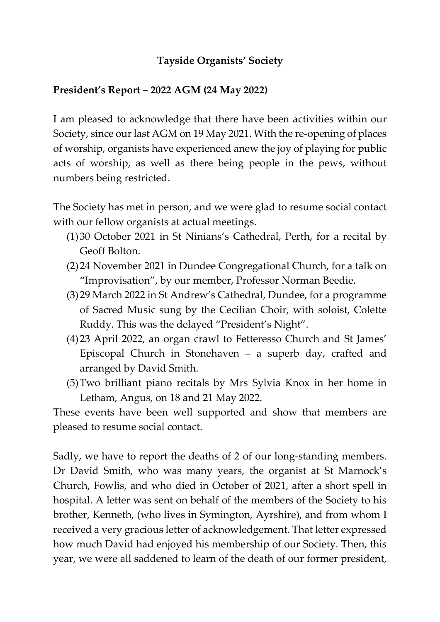## Tayside Organists' Society

## President's Report – 2022 AGM (24 May 2022)

I am pleased to acknowledge that there have been activities within our Society, since our last AGM on 19 May 2021. With the re-opening of places of worship, organists have experienced anew the joy of playing for public acts of worship, as well as there being people in the pews, without numbers being restricted.

The Society has met in person, and we were glad to resume social contact with our fellow organists at actual meetings.

- (1)30 October 2021 in St Ninians's Cathedral, Perth, for a recital by Geoff Bolton.
- (2)24 November 2021 in Dundee Congregational Church, for a talk on "Improvisation", by our member, Professor Norman Beedie.
- (3)29 March 2022 in St Andrew's Cathedral, Dundee, for a programme of Sacred Music sung by the Cecilian Choir, with soloist, Colette Ruddy. This was the delayed "President's Night".
- (4)23 April 2022, an organ crawl to Fetteresso Church and St James' Episcopal Church in Stonehaven – a superb day, crafted and arranged by David Smith.
- (5)Two brilliant piano recitals by Mrs Sylvia Knox in her home in Letham, Angus, on 18 and 21 May 2022.

These events have been well supported and show that members are pleased to resume social contact.

Sadly, we have to report the deaths of 2 of our long-standing members. Dr David Smith, who was many years, the organist at St Marnock's Church, Fowlis, and who died in October of 2021, after a short spell in hospital. A letter was sent on behalf of the members of the Society to his brother, Kenneth, (who lives in Symington, Ayrshire), and from whom I received a very gracious letter of acknowledgement. That letter expressed how much David had enjoyed his membership of our Society. Then, this year, we were all saddened to learn of the death of our former president,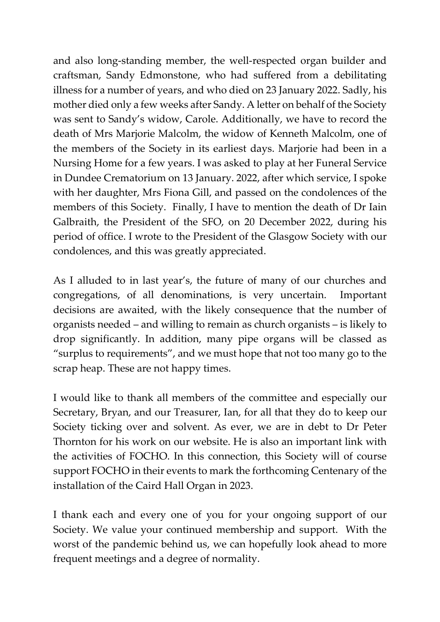and also long-standing member, the well-respected organ builder and craftsman, Sandy Edmonstone, who had suffered from a debilitating illness for a number of years, and who died on 23 January 2022. Sadly, his mother died only a few weeks after Sandy. A letter on behalf of the Society was sent to Sandy's widow, Carole. Additionally, we have to record the death of Mrs Marjorie Malcolm, the widow of Kenneth Malcolm, one of the members of the Society in its earliest days. Marjorie had been in a Nursing Home for a few years. I was asked to play at her Funeral Service in Dundee Crematorium on 13 January. 2022, after which service, I spoke with her daughter, Mrs Fiona Gill, and passed on the condolences of the members of this Society. Finally, I have to mention the death of Dr Iain Galbraith, the President of the SFO, on 20 December 2022, during his period of office. I wrote to the President of the Glasgow Society with our condolences, and this was greatly appreciated.

As I alluded to in last year's, the future of many of our churches and congregations, of all denominations, is very uncertain. Important decisions are awaited, with the likely consequence that the number of organists needed – and willing to remain as church organists – is likely to drop significantly. In addition, many pipe organs will be classed as "surplus to requirements", and we must hope that not too many go to the scrap heap. These are not happy times.

I would like to thank all members of the committee and especially our Secretary, Bryan, and our Treasurer, Ian, for all that they do to keep our Society ticking over and solvent. As ever, we are in debt to Dr Peter Thornton for his work on our website. He is also an important link with the activities of FOCHO. In this connection, this Society will of course support FOCHO in their events to mark the forthcoming Centenary of the installation of the Caird Hall Organ in 2023.

I thank each and every one of you for your ongoing support of our Society. We value your continued membership and support. With the worst of the pandemic behind us, we can hopefully look ahead to more frequent meetings and a degree of normality.